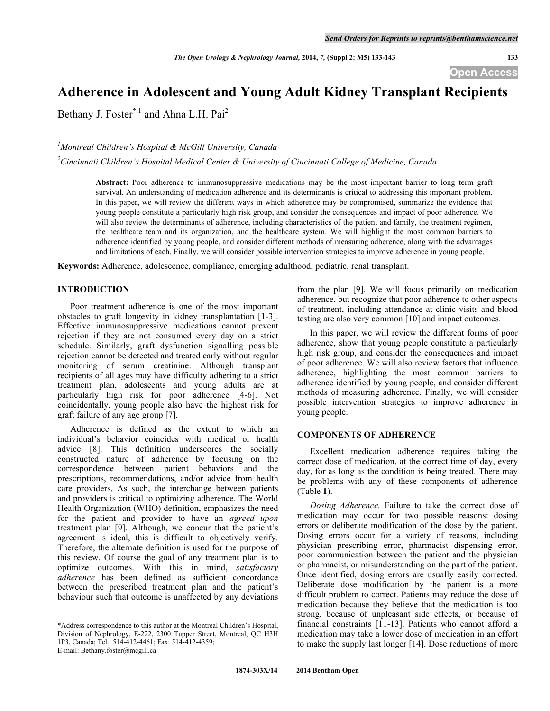# **Adherence in Adolescent and Young Adult Kidney Transplant Recipients**

Bethany J. Foster<sup>\*,1</sup> and Ahna L.H. Pai<sup>2</sup>

*1 Montreal Children's Hospital & McGill University, Canada*

*2 Cincinnati Children's Hospital Medical Center & University of Cincinnati College of Medicine, Canada*

**Abstract:** Poor adherence to immunosuppressive medications may be the most important barrier to long term graft survival. An understanding of medication adherence and its determinants is critical to addressing this important problem. In this paper, we will review the different ways in which adherence may be compromised, summarize the evidence that young people constitute a particularly high risk group, and consider the consequences and impact of poor adherence. We will also review the determinants of adherence, including characteristics of the patient and family, the treatment regimen, the healthcare team and its organization, and the healthcare system. We will highlight the most common barriers to adherence identified by young people, and consider different methods of measuring adherence, along with the advantages and limitations of each. Finally, we will consider possible intervention strategies to improve adherence in young people.

**Keywords:** Adherence, adolescence, compliance, emerging adulthood, pediatric, renal transplant.

## **INTRODUCTION**

Poor treatment adherence is one of the most important obstacles to graft longevity in kidney transplantation [1-3]. Effective immunosuppressive medications cannot prevent rejection if they are not consumed every day on a strict schedule. Similarly, graft dysfunction signalling possible rejection cannot be detected and treated early without regular monitoring of serum creatinine. Although transplant recipients of all ages may have difficulty adhering to a strict treatment plan, adolescents and young adults are at particularly high risk for poor adherence [4-6]. Not coincidentally, young people also have the highest risk for graft failure of any age group [7].

Adherence is defined as the extent to which an individual's behavior coincides with medical or health advice [8]. This definition underscores the socially constructed nature of adherence by focusing on the correspondence between patient behaviors and the prescriptions, recommendations, and/or advice from health care providers. As such, the interchange between patients and providers is critical to optimizing adherence. The World Health Organization (WHO) definition, emphasizes the need for the patient and provider to have an *agreed upon* treatment plan [9]. Although, we concur that the patient's agreement is ideal, this is difficult to objectively verify. Therefore, the alternate definition is used for the purpose of this review. Of course the goal of any treatment plan is to optimize outcomes. With this in mind, *satisfactory adherence* has been defined as sufficient concordance between the prescribed treatment plan and the patient's behaviour such that outcome is unaffected by any deviations from the plan [9]. We will focus primarily on medication adherence, but recognize that poor adherence to other aspects of treatment, including attendance at clinic visits and blood testing are also very common [10] and impact outcomes.

In this paper, we will review the different forms of poor adherence, show that young people constitute a particularly high risk group, and consider the consequences and impact of poor adherence. We will also review factors that influence adherence, highlighting the most common barriers to adherence identified by young people, and consider different methods of measuring adherence. Finally, we will consider possible intervention strategies to improve adherence in young people.

# **COMPONENTS OF ADHERENCE**

Excellent medication adherence requires taking the correct dose of medication, at the correct time of day, every day, for as long as the condition is being treated. There may be problems with any of these components of adherence (Table **1**).

*Dosing Adherence.* Failure to take the correct dose of medication may occur for two possible reasons: dosing errors or deliberate modification of the dose by the patient. Dosing errors occur for a variety of reasons, including physician prescribing error, pharmacist dispensing error, poor communication between the patient and the physician or pharmacist, or misunderstanding on the part of the patient. Once identified, dosing errors are usually easily corrected. Deliberate dose modification by the patient is a more difficult problem to correct. Patients may reduce the dose of medication because they believe that the medication is too strong, because of unpleasant side effects, or because of financial constraints [11-13]. Patients who cannot afford a medication may take a lower dose of medication in an effort to make the supply last longer [14]. Dose reductions of more

<sup>\*</sup>Address correspondence to this author at the Montreal Children's Hospital, Division of Nephrology, E-222, 2300 Tupper Street, Montreal, QC H3H 1P3, Canada; Tel.: 514-412-4461; Fax: 514-412-4359; E-mail: Bethany.foster@mcgill.ca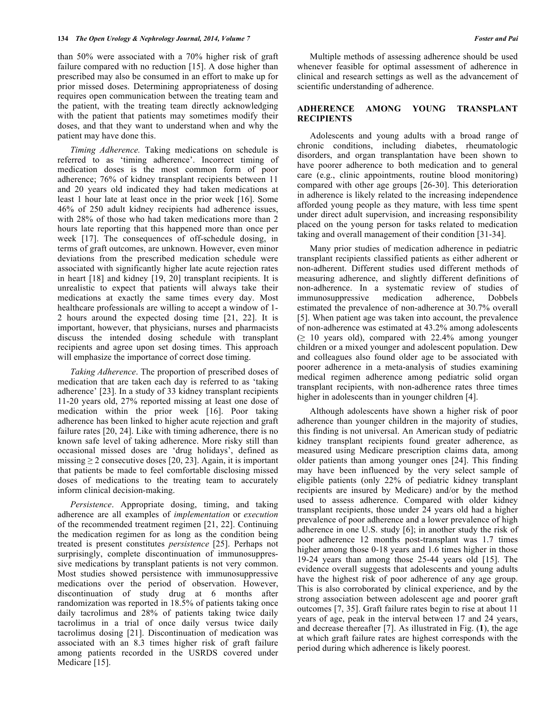than 50% were associated with a 70% higher risk of graft failure compared with no reduction [15]. A dose higher than prescribed may also be consumed in an effort to make up for prior missed doses. Determining appropriateness of dosing requires open communication between the treating team and the patient, with the treating team directly acknowledging with the patient that patients may sometimes modify their doses, and that they want to understand when and why the patient may have done this.

*Timing Adherence.* Taking medications on schedule is referred to as 'timing adherence'. Incorrect timing of medication doses is the most common form of poor adherence; 76% of kidney transplant recipients between 11 and 20 years old indicated they had taken medications at least 1 hour late at least once in the prior week [16]. Some 46% of 250 adult kidney recipients had adherence issues, with 28% of those who had taken medications more than 2 hours late reporting that this happened more than once per week [17]. The consequences of off-schedule dosing, in terms of graft outcomes, are unknown. However, even minor deviations from the prescribed medication schedule were associated with significantly higher late acute rejection rates in heart [18] and kidney [19, 20] transplant recipients. It is unrealistic to expect that patients will always take their medications at exactly the same times every day. Most healthcare professionals are willing to accept a window of 1- 2 hours around the expected dosing time [21, 22]. It is important, however, that physicians, nurses and pharmacists discuss the intended dosing schedule with transplant recipients and agree upon set dosing times. This approach will emphasize the importance of correct dose timing.

*Taking Adherence*. The proportion of prescribed doses of medication that are taken each day is referred to as 'taking adherence' [23]. In a study of 33 kidney transplant recipients 11-20 years old, 27% reported missing at least one dose of medication within the prior week [16]. Poor taking adherence has been linked to higher acute rejection and graft failure rates [20, 24]. Like with timing adherence, there is no known safe level of taking adherence. More risky still than occasional missed doses are 'drug holidays', defined as missing  $\geq 2$  consecutive doses [20, 23]. Again, it is important that patients be made to feel comfortable disclosing missed doses of medications to the treating team to accurately inform clinical decision-making.

*Persistence*. Appropriate dosing, timing, and taking adherence are all examples of *implementation* or *execution* of the recommended treatment regimen [21, 22]. Continuing the medication regimen for as long as the condition being treated is present constitutes *persistence* [25]. Perhaps not surprisingly, complete discontinuation of immunosuppressive medications by transplant patients is not very common. Most studies showed persistence with immunosuppressive medications over the period of observation. However, discontinuation of study drug at 6 months after randomization was reported in 18.5% of patients taking once daily tacrolimus and 28% of patients taking twice daily tacrolimus in a trial of once daily versus twice daily tacrolimus dosing [21]. Discontinuation of medication was associated with an 8.3 times higher risk of graft failure among patients recorded in the USRDS covered under Medicare [15].

Multiple methods of assessing adherence should be used whenever feasible for optimal assessment of adherence in clinical and research settings as well as the advancement of scientific understanding of adherence.

# **ADHERENCE AMONG YOUNG TRANSPLANT RECIPIENTS**

Adolescents and young adults with a broad range of chronic conditions, including diabetes, rheumatologic disorders, and organ transplantation have been shown to have poorer adherence to both medication and to general care (e.g., clinic appointments, routine blood monitoring) compared with other age groups [26-30]. This deterioration in adherence is likely related to the increasing independence afforded young people as they mature, with less time spent under direct adult supervision, and increasing responsibility placed on the young person for tasks related to medication taking and overall management of their condition [31-34].

Many prior studies of medication adherence in pediatric transplant recipients classified patients as either adherent or non-adherent. Different studies used different methods of measuring adherence, and slightly different definitions of non-adherence. In a systematic review of studies of immunosuppressive medication adherence, Dobbels estimated the prevalence of non-adherence at 30.7% overall [5]. When patient age was taken into account, the prevalence of non-adherence was estimated at 43.2% among adolescents  $( \geq 10$  years old), compared with 22.4% among younger children or a mixed younger and adolescent population. Dew and colleagues also found older age to be associated with poorer adherence in a meta-analysis of studies examining medical regimen adherence among pediatric solid organ transplant recipients, with non-adherence rates three times higher in adolescents than in younger children [4].

Although adolescents have shown a higher risk of poor adherence than younger children in the majority of studies, this finding is not universal. An American study of pediatric kidney transplant recipients found greater adherence, as measured using Medicare prescription claims data, among older patients than among younger ones [24]. This finding may have been influenced by the very select sample of eligible patients (only 22% of pediatric kidney transplant recipients are insured by Medicare) and/or by the method used to assess adherence. Compared with older kidney transplant recipients, those under 24 years old had a higher prevalence of poor adherence and a lower prevalence of high adherence in one U.S. study [6]; in another study the risk of poor adherence 12 months post-transplant was 1.7 times higher among those 0-18 years and 1.6 times higher in those 19-24 years than among those 25-44 years old [15]. The evidence overall suggests that adolescents and young adults have the highest risk of poor adherence of any age group. This is also corroborated by clinical experience, and by the strong association between adolescent age and poorer graft outcomes [7, 35]. Graft failure rates begin to rise at about 11 years of age, peak in the interval between 17 and 24 years, and decrease thereafter [7]. As illustrated in Fig. (**1**), the age at which graft failure rates are highest corresponds with the period during which adherence is likely poorest.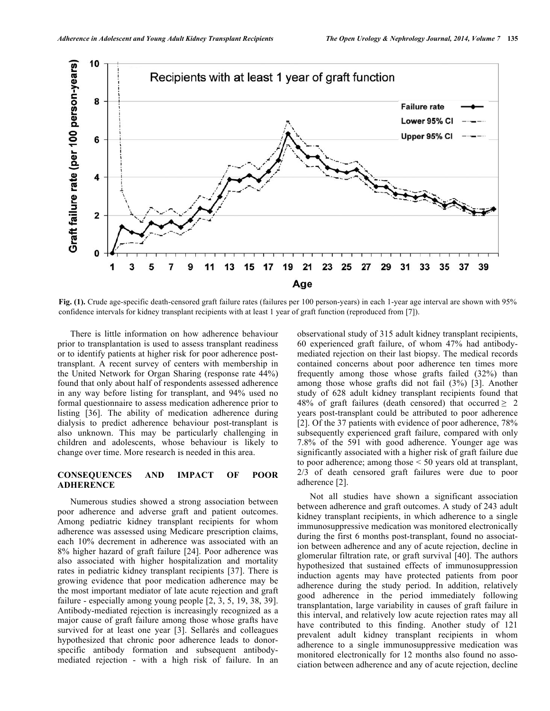

**Fig. (1).** Crude age-specific death-censored graft failure rates (failures per 100 person-years) in each 1-year age interval are shown with 95% confidence intervals for kidney transplant recipients with at least 1 year of graft function (reproduced from [7]).

There is little information on how adherence behaviour prior to transplantation is used to assess transplant readiness or to identify patients at higher risk for poor adherence posttransplant. A recent survey of centers with membership in the United Network for Organ Sharing (response rate 44%) found that only about half of respondents assessed adherence in any way before listing for transplant, and 94% used no formal questionnaire to assess medication adherence prior to listing [36]. The ability of medication adherence during dialysis to predict adherence behaviour post-transplant is also unknown. This may be particularly challenging in children and adolescents, whose behaviour is likely to change over time. More research is needed in this area.

# **CONSEQUENCES AND IMPACT OF POOR ADHERENCE**

Numerous studies showed a strong association between poor adherence and adverse graft and patient outcomes. Among pediatric kidney transplant recipients for whom adherence was assessed using Medicare prescription claims, each 10% decrement in adherence was associated with an 8% higher hazard of graft failure [24]. Poor adherence was also associated with higher hospitalization and mortality rates in pediatric kidney transplant recipients [37]. There is growing evidence that poor medication adherence may be the most important mediator of late acute rejection and graft failure - especially among young people [2, 3, 5, 19, 38, 39]. Antibody-mediated rejection is increasingly recognized as a major cause of graft failure among those whose grafts have survived for at least one year [3]. Sellarés and colleagues hypothesized that chronic poor adherence leads to donorspecific antibody formation and subsequent antibodymediated rejection - with a high risk of failure. In an

observational study of 315 adult kidney transplant recipients, 60 experienced graft failure, of whom 47% had antibodymediated rejection on their last biopsy. The medical records contained concerns about poor adherence ten times more frequently among those whose grafts failed (32%) than among those whose grafts did not fail (3%) [3]. Another study of 628 adult kidney transplant recipients found that 48% of graft failures (death censored) that occurred  $\geq 2$ years post-transplant could be attributed to poor adherence [2]. Of the 37 patients with evidence of poor adherence, 78% subsequently experienced graft failure, compared with only 7.8% of the 591 with good adherence. Younger age was significantly associated with a higher risk of graft failure due to poor adherence; among those < 50 years old at transplant, 2/3 of death censored graft failures were due to poor adherence [2].

Not all studies have shown a significant association between adherence and graft outcomes. A study of 243 adult kidney transplant recipients, in which adherence to a single immunosuppressive medication was monitored electronically during the first 6 months post-transplant, found no association between adherence and any of acute rejection, decline in glomerular filtration rate, or graft survival [40]. The authors hypothesized that sustained effects of immunosuppression induction agents may have protected patients from poor adherence during the study period. In addition, relatively good adherence in the period immediately following transplantation, large variability in causes of graft failure in this interval, and relatively low acute rejection rates may all have contributed to this finding. Another study of 121 prevalent adult kidney transplant recipients in whom adherence to a single immunosuppressive medication was monitored electronically for 12 months also found no association between adherence and any of acute rejection, decline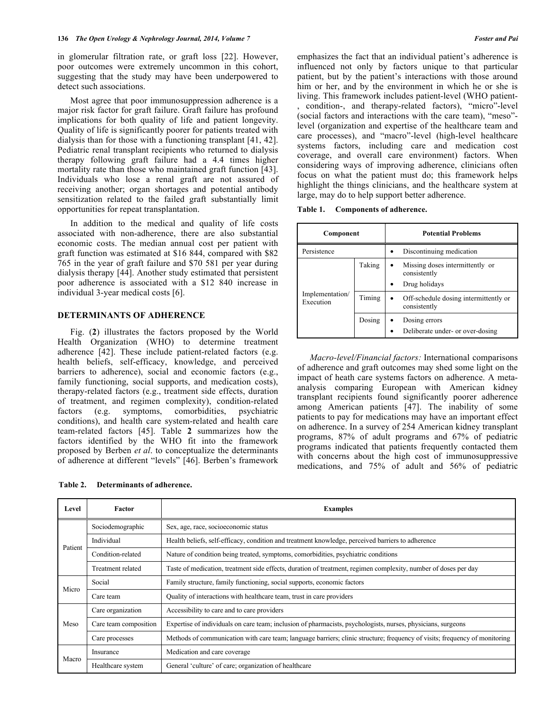in glomerular filtration rate, or graft loss [22]. However, poor outcomes were extremely uncommon in this cohort, suggesting that the study may have been underpowered to detect such associations.

Most agree that poor immunosuppression adherence is a major risk factor for graft failure. Graft failure has profound implications for both quality of life and patient longevity. Quality of life is significantly poorer for patients treated with dialysis than for those with a functioning transplant [41, 42]. Pediatric renal transplant recipients who returned to dialysis therapy following graft failure had a 4.4 times higher mortality rate than those who maintained graft function [43]. Individuals who lose a renal graft are not assured of receiving another; organ shortages and potential antibody sensitization related to the failed graft substantially limit opportunities for repeat transplantation.

In addition to the medical and quality of life costs associated with non-adherence, there are also substantial economic costs. The median annual cost per patient with graft function was estimated at \$16 844, compared with \$82 765 in the year of graft failure and \$70 581 per year during dialysis therapy [44]. Another study estimated that persistent poor adherence is associated with a \$12 840 increase in individual 3-year medical costs [6].

# **DETERMINANTS OF ADHERENCE**

Fig. (**2**) illustrates the factors proposed by the World Health Organization (WHO) to determine treatment adherence [42]. These include patient-related factors (e.g. health beliefs, self-efficacy, knowledge, and perceived barriers to adherence), social and economic factors (e.g., family functioning, social supports, and medication costs), therapy-related factors (e.g., treatment side effects, duration of treatment, and regimen complexity), condition-related factors (e.g. symptoms, comorbidities, psychiatric conditions), and health care system-related and health care team-related factors [45]. Table **2** summarizes how the factors identified by the WHO fit into the framework proposed by Berben *et al*. to conceptualize the determinants of adherence at different "levels" [46]. Berben's framework

| Table 2. | Determinants of adherence. |  |
|----------|----------------------------|--|
|          |                            |  |

emphasizes the fact that an individual patient's adherence is influenced not only by factors unique to that particular patient, but by the patient's interactions with those around him or her, and by the environment in which he or she is living. This framework includes patient-level (WHO patient- , condition-, and therapy-related factors), "micro"-level (social factors and interactions with the care team), "meso" level (organization and expertise of the healthcare team and care processes), and "macro"-level (high-level healthcare systems factors, including care and medication cost coverage, and overall care environment) factors. When considering ways of improving adherence, clinicians often focus on what the patient must do; this framework helps highlight the things clinicians, and the healthcare system at large, may do to help support better adherence.

|  | Table 1. | Components of adherence. |
|--|----------|--------------------------|
|--|----------|--------------------------|

| Component                    |        |   | <b>Potential Problems</b>                                        |
|------------------------------|--------|---|------------------------------------------------------------------|
| Persistence                  |        |   | Discontinuing medication                                         |
|                              | Taking |   | Missing doses intermittently or<br>consistently<br>Drug holidays |
| Implementation/<br>Execution | Timing | ٠ | Off-schedule dosing intermittently or<br>consistently            |
|                              | Dosing |   | Dosing errors<br>Deliberate under- or over-dosing                |

*Macro-level/Financial factors:* International comparisons of adherence and graft outcomes may shed some light on the impact of heath care systems factors on adherence. A metaanalysis comparing European with American kidney transplant recipients found significantly poorer adherence among American patients [47]. The inability of some patients to pay for medications may have an important effect on adherence. In a survey of 254 American kidney transplant programs, 87% of adult programs and 67% of pediatric programs indicated that patients frequently contacted them with concerns about the high cost of immunosuppressive medications, and 75% of adult and 56% of pediatric

| Level            | Factor                | <b>Examples</b>                                                                                                            |  |
|------------------|-----------------------|----------------------------------------------------------------------------------------------------------------------------|--|
| Sociodemographic |                       | Sex, age, race, socioeconomic status                                                                                       |  |
| Patient          | Individual            | Health beliefs, self-efficacy, condition and treatment knowledge, perceived barriers to adherence                          |  |
|                  | Condition-related     | Nature of condition being treated, symptoms, comorbidities, psychiatric conditions                                         |  |
|                  | Treatment related     | Taste of medication, treatment side effects, duration of treatment, regimen complexity, number of doses per day            |  |
| Social<br>Micro  |                       | Family structure, family functioning, social supports, economic factors                                                    |  |
|                  | Care team             | Quality of interactions with healthcare team, trust in care providers                                                      |  |
|                  | Care organization     | Accessibility to care and to care providers                                                                                |  |
| Meso             | Care team composition | Expertise of individuals on care team; inclusion of pharmacists, psychologists, nurses, physicians, surgeons               |  |
|                  | Care processes        | Methods of communication with care team; language barriers; clinic structure; frequency of visits; frequency of monitoring |  |
| Macro            | Insurance             | Medication and care coverage                                                                                               |  |
|                  | Healthcare system     | General 'culture' of care; organization of healthcare                                                                      |  |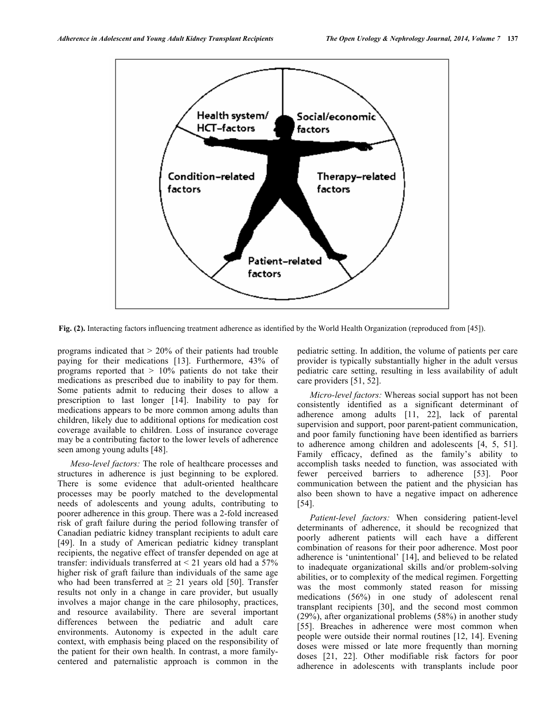

**Fig. (2).** Interacting factors influencing treatment adherence as identified by the World Health Organization (reproduced from [45]).

programs indicated that  $> 20\%$  of their patients had trouble paying for their medications [13]. Furthermore, 43% of programs reported that > 10% patients do not take their medications as prescribed due to inability to pay for them. Some patients admit to reducing their doses to allow a prescription to last longer [14]. Inability to pay for medications appears to be more common among adults than children, likely due to additional options for medication cost coverage available to children. Loss of insurance coverage may be a contributing factor to the lower levels of adherence seen among young adults [48].

*Meso-level factors:* The role of healthcare processes and structures in adherence is just beginning to be explored. There is some evidence that adult-oriented healthcare processes may be poorly matched to the developmental needs of adolescents and young adults, contributing to poorer adherence in this group. There was a 2-fold increased risk of graft failure during the period following transfer of Canadian pediatric kidney transplant recipients to adult care [49]. In a study of American pediatric kidney transplant recipients, the negative effect of transfer depended on age at transfer: individuals transferred at < 21 years old had a 57% higher risk of graft failure than individuals of the same age who had been transferred at  $\geq$  21 years old [50]. Transfer results not only in a change in care provider, but usually involves a major change in the care philosophy, practices, and resource availability. There are several important differences between the pediatric and adult care environments. Autonomy is expected in the adult care context, with emphasis being placed on the responsibility of the patient for their own health. In contrast, a more familycentered and paternalistic approach is common in the

pediatric setting. In addition, the volume of patients per care provider is typically substantially higher in the adult versus pediatric care setting, resulting in less availability of adult care providers [51, 52].

*Micro-level factors:* Whereas social support has not been consistently identified as a significant determinant of adherence among adults [11, 22], lack of parental supervision and support, poor parent-patient communication, and poor family functioning have been identified as barriers to adherence among children and adolescents [4, 5, 51]. Family efficacy, defined as the family's ability to accomplish tasks needed to function, was associated with fewer perceived barriers to adherence [53]. Poor communication between the patient and the physician has also been shown to have a negative impact on adherence [54].

*Patient-level factors:* When considering patient-level determinants of adherence, it should be recognized that poorly adherent patients will each have a different combination of reasons for their poor adherence. Most poor adherence is 'unintentional' [14], and believed to be related to inadequate organizational skills and/or problem-solving abilities, or to complexity of the medical regimen. Forgetting was the most commonly stated reason for missing medications (56%) in one study of adolescent renal transplant recipients [30], and the second most common (29%), after organizational problems (58%) in another study [55]. Breaches in adherence were most common when people were outside their normal routines [12, 14]. Evening doses were missed or late more frequently than morning doses [21, 22]. Other modifiable risk factors for poor adherence in adolescents with transplants include poor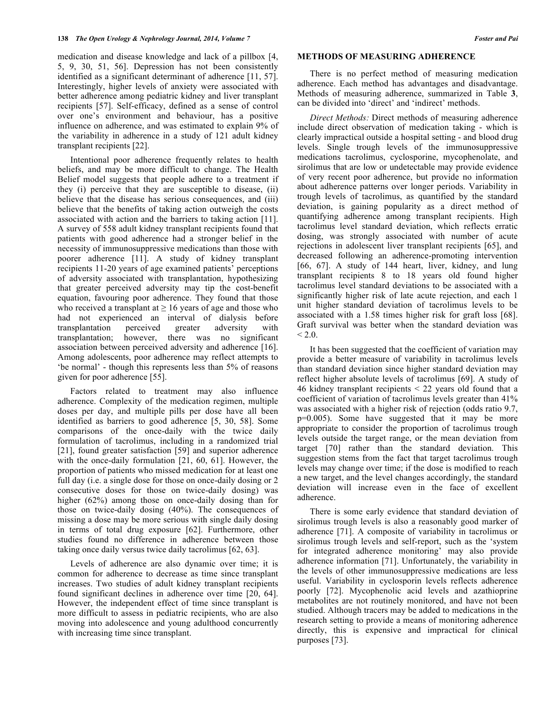medication and disease knowledge and lack of a pillbox [4, 5, 9, 30, 51, 56]. Depression has not been consistently identified as a significant determinant of adherence [11, 57]. Interestingly, higher levels of anxiety were associated with better adherence among pediatric kidney and liver transplant recipients [57]. Self-efficacy, defined as a sense of control over one's environment and behaviour, has a positive influence on adherence, and was estimated to explain 9% of the variability in adherence in a study of 121 adult kidney transplant recipients [22].

Intentional poor adherence frequently relates to health beliefs, and may be more difficult to change. The Health Belief model suggests that people adhere to a treatment if they (i) perceive that they are susceptible to disease, (ii) believe that the disease has serious consequences, and (iii) believe that the benefits of taking action outweigh the costs associated with action and the barriers to taking action [11]. A survey of 558 adult kidney transplant recipients found that patients with good adherence had a stronger belief in the necessity of immunosuppressive medications than those with poorer adherence [11]. A study of kidney transplant recipients 11-20 years of age examined patients' perceptions of adversity associated with transplantation, hypothesizing that greater perceived adversity may tip the cost-benefit equation, favouring poor adherence. They found that those who received a transplant at  $\geq 16$  years of age and those who had not experienced an interval of dialysis before transplantation perceived greater adversity with transplantation; however, there was no significant association between perceived adversity and adherence [16]. Among adolescents, poor adherence may reflect attempts to 'be normal' - though this represents less than 5% of reasons given for poor adherence [55].

Factors related to treatment may also influence adherence. Complexity of the medication regimen, multiple doses per day, and multiple pills per dose have all been identified as barriers to good adherence [5, 30, 58]. Some comparisons of the once-daily with the twice daily formulation of tacrolimus, including in a randomized trial [21], found greater satisfaction [59] and superior adherence with the once-daily formulation [21, 60, 61]. However, the proportion of patients who missed medication for at least one full day (i.e. a single dose for those on once-daily dosing or 2 consecutive doses for those on twice-daily dosing) was higher (62%) among those on once-daily dosing than for those on twice-daily dosing (40%). The consequences of missing a dose may be more serious with single daily dosing in terms of total drug exposure [62]. Furthermore, other studies found no difference in adherence between those taking once daily versus twice daily tacrolimus [62, 63].

Levels of adherence are also dynamic over time; it is common for adherence to decrease as time since transplant increases. Two studies of adult kidney transplant recipients found significant declines in adherence over time [20, 64]. However, the independent effect of time since transplant is more difficult to assess in pediatric recipients, who are also moving into adolescence and young adulthood concurrently with increasing time since transplant.

### **METHODS OF MEASURING ADHERENCE**

There is no perfect method of measuring medication adherence. Each method has advantages and disadvantage. Methods of measuring adherence, summarized in Table **3**, can be divided into 'direct' and 'indirect' methods.

*Direct Methods:* Direct methods of measuring adherence include direct observation of medication taking - which is clearly impractical outside a hospital setting - and blood drug levels. Single trough levels of the immunosuppressive medications tacrolimus, cyclosporine, mycophenolate, and sirolimus that are low or undetectable may provide evidence of very recent poor adherence, but provide no information about adherence patterns over longer periods. Variability in trough levels of tacrolimus, as quantified by the standard deviation, is gaining popularity as a direct method of quantifying adherence among transplant recipients. High tacrolimus level standard deviation, which reflects erratic dosing, was strongly associated with number of acute rejections in adolescent liver transplant recipients [65], and decreased following an adherence-promoting intervention [66, 67]. A study of 144 heart, liver, kidney, and lung transplant recipients 8 to 18 years old found higher tacrolimus level standard deviations to be associated with a significantly higher risk of late acute rejection, and each 1 unit higher standard deviation of tacrolimus levels to be associated with a 1.58 times higher risk for graft loss [68]. Graft survival was better when the standard deviation was  $< 2.0$ .

It has been suggested that the coefficient of variation may provide a better measure of variability in tacrolimus levels than standard deviation since higher standard deviation may reflect higher absolute levels of tacrolimus [69]. A study of 46 kidney transplant recipients < 22 years old found that a coefficient of variation of tacrolimus levels greater than 41% was associated with a higher risk of rejection (odds ratio 9.7, p=0.005). Some have suggested that it may be more appropriate to consider the proportion of tacrolimus trough levels outside the target range, or the mean deviation from target [70] rather than the standard deviation. This suggestion stems from the fact that target tacrolimus trough levels may change over time; if the dose is modified to reach a new target, and the level changes accordingly, the standard deviation will increase even in the face of excellent adherence.

There is some early evidence that standard deviation of sirolimus trough levels is also a reasonably good marker of adherence [71]. A composite of variability in tacrolimus or sirolimus trough levels and self-report, such as the 'system for integrated adherence monitoring' may also provide adherence information [71]. Unfortunately, the variability in the levels of other immunosuppressive medications are less useful. Variability in cyclosporin levels reflects adherence poorly [72]. Mycophenolic acid levels and azathioprine metabolites are not routinely monitored, and have not been studied. Although tracers may be added to medications in the research setting to provide a means of monitoring adherence directly, this is expensive and impractical for clinical purposes [73].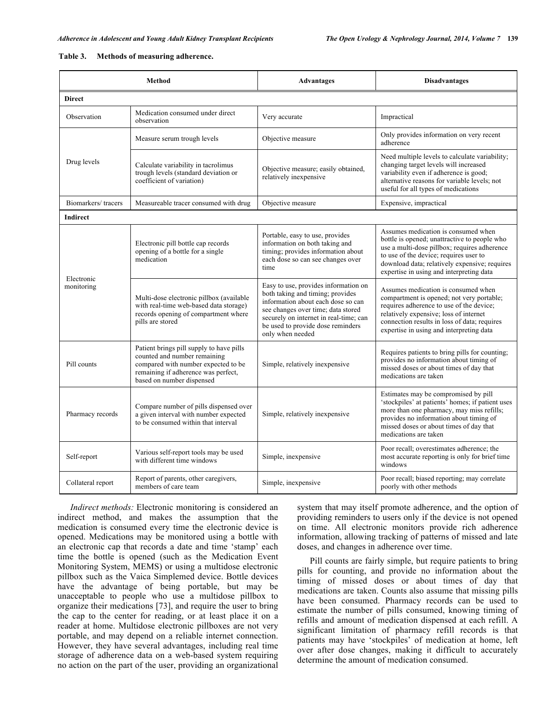| Table 3. | Methods of measuring adherence. |  |
|----------|---------------------------------|--|
|          |                                 |  |

| <b>Method</b>            |                                                                                                                                                                                     | <b>Advantages</b>                                                                                                                                                                                                                                       | <b>Disadvantages</b>                                                                                                                                                                                                                                                       |
|--------------------------|-------------------------------------------------------------------------------------------------------------------------------------------------------------------------------------|---------------------------------------------------------------------------------------------------------------------------------------------------------------------------------------------------------------------------------------------------------|----------------------------------------------------------------------------------------------------------------------------------------------------------------------------------------------------------------------------------------------------------------------------|
| <b>Direct</b>            |                                                                                                                                                                                     |                                                                                                                                                                                                                                                         |                                                                                                                                                                                                                                                                            |
| Observation              | Medication consumed under direct<br>observation                                                                                                                                     | Very accurate                                                                                                                                                                                                                                           | Impractical                                                                                                                                                                                                                                                                |
| Drug levels              | Measure serum trough levels                                                                                                                                                         | Objective measure                                                                                                                                                                                                                                       | Only provides information on very recent<br>adherence                                                                                                                                                                                                                      |
|                          | Calculate variability in tacrolimus<br>trough levels (standard deviation or<br>coefficient of variation)                                                                            | Objective measure; easily obtained,<br>relatively inexpensive                                                                                                                                                                                           | Need multiple levels to calculate variability;<br>changing target levels will increased<br>variability even if adherence is good;<br>alternative reasons for variable levels; not<br>useful for all types of medications                                                   |
| Biomarkers/tracers       | Measureable tracer consumed with drug                                                                                                                                               | Objective measure                                                                                                                                                                                                                                       | Expensive, impractical                                                                                                                                                                                                                                                     |
| <b>Indirect</b>          |                                                                                                                                                                                     |                                                                                                                                                                                                                                                         |                                                                                                                                                                                                                                                                            |
| Electronic<br>monitoring | Electronic pill bottle cap records<br>opening of a bottle for a single<br>medication                                                                                                | Portable, easy to use, provides<br>information on both taking and<br>timing; provides information about<br>each dose so can see changes over<br>time                                                                                                    | Assumes medication is consumed when<br>bottle is opened; unattractive to people who<br>use a multi-dose pillbox; requires adherence<br>to use of the device; requires user to<br>download data; relatively expensive; requires<br>expertise in using and interpreting data |
|                          | Multi-dose electronic pillbox (available<br>with real-time web-based data storage)<br>records opening of compartment where<br>pills are stored                                      | Easy to use, provides information on<br>both taking and timing; provides<br>information about each dose so can<br>see changes over time; data stored<br>securely on internet in real-time; can<br>be used to provide dose reminders<br>only when needed | Assumes medication is consumed when<br>compartment is opened; not very portable;<br>requires adherence to use of the device;<br>relatively expensive; loss of internet<br>connection results in loss of data; requires<br>expertise in using and interpreting data         |
| Pill counts              | Patient brings pill supply to have pills<br>counted and number remaining<br>compared with number expected to be<br>remaining if adherence was perfect.<br>based on number dispensed | Simple, relatively inexpensive                                                                                                                                                                                                                          | Requires patients to bring pills for counting.<br>provides no information about timing of<br>missed doses or about times of day that<br>medications are taken                                                                                                              |
| Pharmacy records         | Compare number of pills dispensed over<br>a given interval with number expected<br>to be consumed within that interval                                                              | Simple, relatively inexpensive                                                                                                                                                                                                                          | Estimates may be compromised by pill<br>'stockpiles' at patients' homes; if patient uses<br>more than one pharmacy, may miss refills;<br>provides no information about timing of<br>missed doses or about times of day that<br>medications are taken                       |
| Self-report              | Various self-report tools may be used<br>with different time windows                                                                                                                | Simple, inexpensive                                                                                                                                                                                                                                     | Poor recall; overestimates adherence; the<br>most accurate reporting is only for brief time<br>windows                                                                                                                                                                     |
| Collateral report        | Report of parents, other caregivers,<br>members of care team                                                                                                                        | Simple, inexpensive                                                                                                                                                                                                                                     | Poor recall; biased reporting; may correlate<br>poorly with other methods                                                                                                                                                                                                  |

*Indirect methods:* Electronic monitoring is considered an indirect method, and makes the assumption that the medication is consumed every time the electronic device is opened. Medications may be monitored using a bottle with an electronic cap that records a date and time 'stamp' each time the bottle is opened (such as the Medication Event Monitoring System, MEMS) or using a multidose electronic pillbox such as the Vaica Simplemed device. Bottle devices have the advantage of being portable, but may be unacceptable to people who use a multidose pillbox to organize their medications [73], and require the user to bring the cap to the center for reading, or at least place it on a reader at home. Multidose electronic pillboxes are not very portable, and may depend on a reliable internet connection. However, they have several advantages, including real time storage of adherence data on a web-based system requiring no action on the part of the user, providing an organizational

system that may itself promote adherence, and the option of providing reminders to users only if the device is not opened on time. All electronic monitors provide rich adherence information, allowing tracking of patterns of missed and late doses, and changes in adherence over time.

Pill counts are fairly simple, but require patients to bring pills for counting, and provide no information about the timing of missed doses or about times of day that medications are taken. Counts also assume that missing pills have been consumed. Pharmacy records can be used to estimate the number of pills consumed, knowing timing of refills and amount of medication dispensed at each refill. A significant limitation of pharmacy refill records is that patients may have 'stockpiles' of medication at home, left over after dose changes, making it difficult to accurately determine the amount of medication consumed.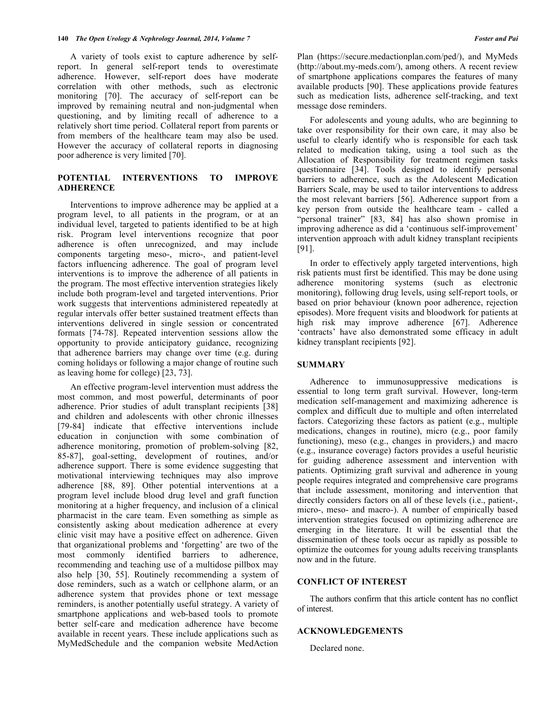A variety of tools exist to capture adherence by selfreport. In general self-report tends to overestimate adherence. However, self-report does have moderate correlation with other methods, such as electronic monitoring [70]. The accuracy of self-report can be improved by remaining neutral and non-judgmental when questioning, and by limiting recall of adherence to a relatively short time period. Collateral report from parents or from members of the healthcare team may also be used. However the accuracy of collateral reports in diagnosing poor adherence is very limited [70].

# **POTENTIAL INTERVENTIONS TO IMPROVE ADHERENCE**

Interventions to improve adherence may be applied at a program level, to all patients in the program, or at an individual level, targeted to patients identified to be at high risk. Program level interventions recognize that poor adherence is often unrecognized, and may include components targeting meso-, micro-, and patient-level factors influencing adherence. The goal of program level interventions is to improve the adherence of all patients in the program. The most effective intervention strategies likely include both program-level and targeted interventions. Prior work suggests that interventions administered repeatedly at regular intervals offer better sustained treatment effects than interventions delivered in single session or concentrated formats [74-78]. Repeated intervention sessions allow the opportunity to provide anticipatory guidance, recognizing that adherence barriers may change over time (e.g. during coming holidays or following a major change of routine such as leaving home for college) [23, 73].

An effective program-level intervention must address the most common, and most powerful, determinants of poor adherence. Prior studies of adult transplant recipients [38] and children and adolescents with other chronic illnesses [79-84] indicate that effective interventions include education in conjunction with some combination of adherence monitoring, promotion of problem-solving [82, 85-87], goal-setting, development of routines, and/or adherence support. There is some evidence suggesting that motivational interviewing techniques may also improve adherence [88, 89]. Other potential interventions at a program level include blood drug level and graft function monitoring at a higher frequency, and inclusion of a clinical pharmacist in the care team. Even something as simple as consistently asking about medication adherence at every clinic visit may have a positive effect on adherence. Given that organizational problems and 'forgetting' are two of the most commonly identified barriers to adherence, recommending and teaching use of a multidose pillbox may also help [30, 55]. Routinely recommending a system of dose reminders, such as a watch or cellphone alarm, or an adherence system that provides phone or text message reminders, is another potentially useful strategy. A variety of smartphone applications and web-based tools to promote better self-care and medication adherence have become available in recent years. These include applications such as MyMedSchedule and the companion website MedAction

Plan (https://secure.medactionplan.com/ped/), and MyMeds (http://about.my-meds.com/), among others. A recent review of smartphone applications compares the features of many available products [90]. These applications provide features such as medication lists, adherence self-tracking, and text message dose reminders.

For adolescents and young adults, who are beginning to take over responsibility for their own care, it may also be useful to clearly identify who is responsible for each task related to medication taking, using a tool such as the Allocation of Responsibility for treatment regimen tasks questionnaire [34]. Tools designed to identify personal barriers to adherence, such as the Adolescent Medication Barriers Scale, may be used to tailor interventions to address the most relevant barriers [56]. Adherence support from a key person from outside the healthcare team - called a "personal trainer" [83, 84] has also shown promise in improving adherence as did a 'continuous self-improvement' intervention approach with adult kidney transplant recipients [91].

In order to effectively apply targeted interventions, high risk patients must first be identified. This may be done using adherence monitoring systems (such as electronic monitoring), following drug levels, using self-report tools, or based on prior behaviour (known poor adherence, rejection episodes). More frequent visits and bloodwork for patients at high risk may improve adherence [67]. Adherence 'contracts' have also demonstrated some efficacy in adult kidney transplant recipients [92].

## **SUMMARY**

Adherence to immunosuppressive medications is essential to long term graft survival. However, long-term medication self-management and maximizing adherence is complex and difficult due to multiple and often interrelated factors. Categorizing these factors as patient (e.g., multiple medications, changes in routine), micro (e.g., poor family functioning), meso (e.g., changes in providers,) and macro (e.g., insurance coverage) factors provides a useful heuristic for guiding adherence assessment and intervention with patients. Optimizing graft survival and adherence in young people requires integrated and comprehensive care programs that include assessment, monitoring and intervention that directly considers factors on all of these levels (i.e., patient-, micro-, meso- and macro-). A number of empirically based intervention strategies focused on optimizing adherence are emerging in the literature. It will be essential that the dissemination of these tools occur as rapidly as possible to optimize the outcomes for young adults receiving transplants now and in the future.

#### **CONFLICT OF INTEREST**

The authors confirm that this article content has no conflict of interest.

# **ACKNOWLEDGEMENTS**

Declared none.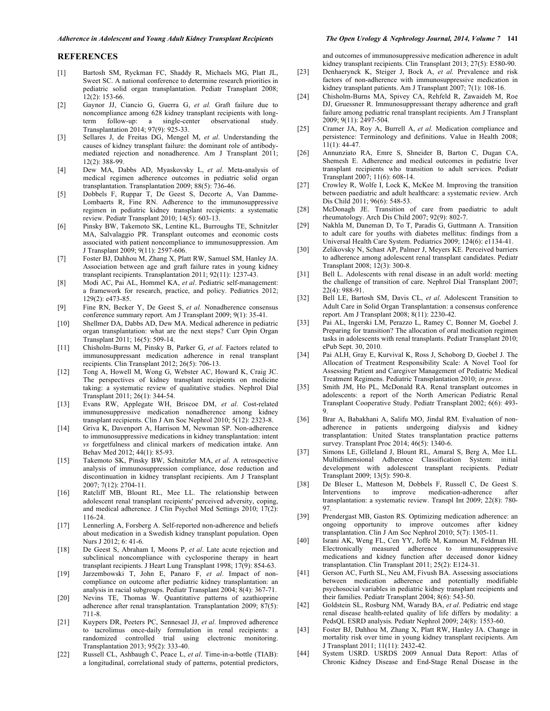#### **REFERENCES**

- [1] Bartosh SM, Ryckman FC, Shaddy R, Michaels MG, Platt JL, Sweet SC. A national conference to determine research priorities in pediatric solid organ transplantation. Pediatr Transplant 2008; 12(2): 153-66.
- [2] Gaynor JJ, Ciancio G, Guerra G, *et al.* Graft failure due to noncompliance among 628 kidney transplant recipients with longterm follow-up: a single-center observational study. Transplantation 2014; 97(9): 925-33.
- [3] Sellares J, de Freitas DG, Mengel M, *et al*. Understanding the causes of kidney transplant failure: the dominant role of antibodymediated rejection and nonadherence. Am J Transplant 2011;  $12(2)$ : 388-99.
- [4] Dew MA, Dabbs AD, Myaskovsky L, *et al*. Meta-analysis of medical regimen adherence outcomes in pediatric solid organ transplantation. Transplantation 2009; 88(5): 736-46.
- [5] Dobbels F, Ruppar T, De Geest S, Decorte A, Van Damme-Lombaerts R, Fine RN. Adherence to the immunosuppressive regimen in pediatric kidney transplant recipients: a systematic review. Pediatr Transplant 2010; 14(5): 603-13.
- [6] Pinsky BW, Takemoto SK, Lentine KL, Burroughs TE, Schnitzler MA, Salvalaggio PR. Transplant outcomes and economic costs associated with patient noncompliance to immunosuppression. Am J Transplant 2009; 9(11): 2597-606.
- [7] Foster BJ, Dahhou M, Zhang X, Platt RW, Samuel SM, Hanley JA. Association between age and graft failure rates in young kidney transplant recipients. Transplantation 2011; 92(11): 1237-43.
- [8] Modi AC, Pai AL, Hommel KA, *et al*. Pediatric self-management: a framework for research, practice, and policy. Pediatrics 2012; 129(2): e473-85.
- [9] Fine RN, Becker Y, De Geest S, *et al.* Nonadherence consensus conference summary report. Am J Transplant 2009; 9(1): 35-41.
- [10] Shellmer DA, Dabbs AD, Dew MA. Medical adherence in pediatric organ transplantation: what are the next steps? Curr Opin Organ Transplant 2011; 16(5): 509-14.
- [11] Chisholm-Burns M, Pinsky B, Parker G, *et al*. Factors related to immunosuppressant medication adherence in renal transplant recipients. Clin Transplant 2012; 26(5): 706-13.
- [12] Tong A, Howell M, Wong G, Webster AC, Howard K, Craig JC. The perspectives of kidney transplant recipients on medicine taking: a systematic review of qualitative studies. Nephrol Dial Transplant 2011; 26(1): 344-54.
- [13] Evans RW, Applegate WH, Briscoe DM, *et al*. Cost-related immunosuppressive medication nonadherence among kidney transplant recipients. Clin J Am Soc Nephrol 2010; 5(12): 2323-8.
- [14] Griva K, Davenport A, Harrison M, Newman SP. Non-adherence to immunosuppressive medications in kidney transplantation: intent *vs* forgetfulness and clinical markers of medication intake. Ann Behav Med 2012; 44(1): 85-93.
- [15] Takemoto SK, Pinsky BW, Schnitzler MA, *et al*. A retrospective analysis of immunosuppression compliance, dose reduction and discontinuation in kidney transplant recipients. Am J Transplant 2007; 7(12): 2704-11.
- [16] Ratcliff MB, Blount RL, Mee LL. The relationship between adolescent renal transplant recipients' perceived adversity, coping, and medical adherence. J Clin Psychol Med Settings 2010; 17(2): 116-24.
- [17] Lennerling A, Forsberg A. Self-reported non-adherence and beliefs about medication in a Swedish kidney transplant population. Open Nurs J 2012; 6: 41-6.
- [18] De Geest S, Abraham I, Moons P, *et al*. Late acute rejection and subclinical noncompliance with cyclosporine therapy in heart transplant recipients. J Heart Lung Transplant 1998; 17(9): 854-63.
- [19] Jarzembowski T, John E, Panaro F, *et al*. Impact of noncompliance on outcome after pediatric kidney transplantation: an analysis in racial subgroups. Pediatr Transplant 2004; 8(4): 367-71.
- [20] Nevins TE, Thomas W. Quantitative patterns of azathioprine adherence after renal transplantation. Transplantation 2009; 87(5): 711-8.
- [21] Kuypers DR, Peeters PC, Sennesael JJ, *et al*. Improved adherence to tacrolimus once-daily formulation in renal recipients: a randomized controlled trial using electronic monitoring. Transplantation 2013; 95(2): 333-40.
- [22] Russell CL, Ashbaugh C, Peace L, *et al*. Time-in-a-bottle (TIAB): a longitudinal, correlational study of patterns, potential predictors,

and outcomes of immunosuppressive medication adherence in adult kidney transplant recipients. Clin Transplant 2013; 27(5): E580-90.

- [23] Denhaerynck K, Steiger J, Bock A, et al. Prevalence and risk factors of non-adherence with immunosuppressive medication in kidney transplant patients. Am J Transplant 2007; 7(1): 108-16.
- [24] Chisholm-Burns MA, Spivey CA, Rehfeld R, Zawaideh M, Roe DJ, Gruessner R. Immunosuppressant therapy adherence and graft failure among pediatric renal transplant recipients. Am J Transplant 2009; 9(11): 2497-504.
- [25] Cramer JA, Roy A, Burrell A, *et al.* Medication compliance and persistence: Terminology and definitions. Value in Health 2008; 11(1): 44-47.
- [26] Annunziato RA, Emre S, Shneider B, Barton C, Dugan CA, Shemesh E. Adherence and medical outcomes in pediatric liver transplant recipients who transition to adult services. Pediatr Transplant 2007; 11(6): 608-14.
- [27] Crowley R, Wolfe I, Lock K, McKee M. Improving the transition between paediatric and adult healthcare: a systematic review. Arch Dis Child 2011; 96(6): 548-53.
- [28] McDonagh JE. Transition of care from paediatric to adult rheumatology. Arch Dis Child 2007; 92(9): 802-7.
- [29] Nakhla M, Daneman D, To T, Paradis G, Guttmann A. Transition to adult care for youths with diabetes mellitus: findings from a Universal Health Care System. Pediatrics 2009; 124(6): e1134-41.
- [30] Zelikovsky N, Schast AP, Palmer J, Meyers KE. Perceived barriers to adherence among adolescent renal transplant candidates. Pediatr Transplant 2008; 12(3): 300-8.
- [31] Bell L. Adolescents with renal disease in an adult world: meeting the challenge of transition of care. Nephrol Dial Transplant 2007; 22(4): 988-91.
- [32] Bell LE, Bartosh SM, Davis CL, *et al*. Adolescent Transition to Adult Care in Solid Organ Transplantation: a consensus conference report. Am J Transplant 2008; 8(11): 2230-42.
- [33] Pai AL, Ingerski LM, Perazzo L, Ramey C, Bonner M, Goebel J. Preparing for transition? The allocation of oral medication regimen tasks in adolescents with renal transplants. Pediatr Transplant 2010; ePub Sept. 30, 2010.
- [34] Pai ALH, Gray E, Kurvival K, Ross J, Schoborg D, Goebel J. The Allocation of Treatment Responsibility Scale: A Novel Tool for Assessing Patient and Caregiver Management of Pediatric Medical Treatment Regimens. Pediatric Transplantation 2010; *in press*.
- [35] Smith JM, Ho PL, McDonald RA. Renal transplant outcomes in adolescents: a report of the North American Pediatric Renal Transplant Cooperative Study. Pediatr Transplant 2002; 6(6): 493- 9.
- [36] Brar A, Babakhani A, Salifu MO, Jindal RM. Evaluation of nonadherence in patients undergoing dialysis and kidney transplantation: United States transplantation practice patterns survey. Transplant Proc 2014; 46(5): 1340-6.
- [37] Simons LE, Gilleland J, Blount RL, Amaral S, Berg A, Mee LL. Multidimensional Adherence Classification System: initial development with adolescent transplant recipients. Pediatr Transplant 2009; 13(5): 590-8.
- [38] De Bleser L, Matteson M, Dobbels F, Russell C, De Geest S. Interventions to improve medication-adherence after transplantation: a systematic review. Transpl Int 2009; 22(8): 780- 97.
- [39] Prendergast MB, Gaston RS. Optimizing medication adherence: an ongoing opportunity to improve outcomes after kidney transplantation. Clin J Am Soc Nephrol 2010; 5(7): 1305-11.
- [40] Israni AK, Weng FL, Cen YY, Joffe M, Kamoun M, Feldman HI. Electronically measured adherence to immunosuppressive medications and kidney function after deceased donor kidney transplantation. Clin Transplant 2011; 25(2): E124-31.
- [41] Gerson AC, Furth SL, Neu AM, Fivush BA. Assessing associations between medication adherence and potentially modifiable psychosocial variables in pediatric kidney transplant recipients and their families. Pediatr Transplant 2004; 8(6): 543-50.
- [42] Goldstein SL, Rosburg NM, Warady BA, *et al*. Pediatric end stage renal disease health-related quality of life differs by modality: a PedsQL ESRD analysis. Pediatr Nephrol 2009; 24(8): 1553-60.
- [43] Foster BJ, Dahhou M, Zhang X, Platt RW, Hanley JA. Change in mortality risk over time in young kidney transplant recipients. Am J Transplant 2011; 11(11): 2432-42.
- [44] System USRD. USRDS 2009 Annual Data Report: Atlas of Chronic Kidney Disease and End-Stage Renal Disease in the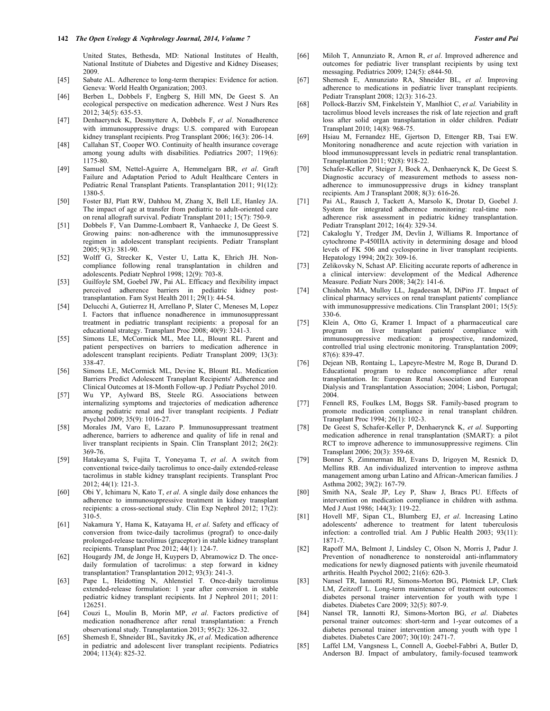United States, Bethesda, MD: National Institutes of Health, National Institute of Diabetes and Digestive and Kidney Diseases; 2009.

- [45] Sabate AL. Adherence to long-term therapies: Evidence for action. Geneva: World Health Organization; 2003.
- [46] Berben L, Dobbels F, Engberg S, Hill MN, De Geest S. An ecological perspective on medication adherence. West J Nurs Res  $2012$ ;  $34(5)$ :  $635-53$ .
- [47] Denhaerynck K, Desmyttere A, Dobbels F, *et al*. Nonadherence with immunosuppressive drugs: U.S. compared with European kidney transplant recipients. Prog Transplant 2006; 16(3): 206-14.
- [48] Callahan ST, Cooper WO. Continuity of health insurance coverage among young adults with disabilities. Pediatrics 2007; 119(6): 1175-80.
- [49] Samuel SM, Nettel-Aguirre A, Hemmelgarn BR, *et al*. Graft Failure and Adaptation Period to Adult Healthcare Centers in Pediatric Renal Transplant Patients. Transplantation 2011; 91(12): 1380-5.
- [50] Foster BJ, Platt RW, Dahhou M, Zhang X, Bell LE, Hanley JA. The impact of age at transfer from pediatric to adult-oriented care on renal allograft survival. Pediatr Transplant 2011; 15(7): 750-9.
- [51] Dobbels F, Van Damme-Lombaert R, Vanhaecke J, De Geest S. Growing pains: non-adherence with the immunosuppressive regimen in adolescent transplant recipients. Pediatr Transplant 2005; 9(3): 381-90.
- [52] Wolff G, Strecker K, Vester U, Latta K, Ehrich JH. Noncompliance following renal transplantation in children and adolescents. Pediatr Nephrol 1998; 12(9): 703-8.
- [53] Guilfoyle SM, Goebel JW, Pai AL. Efficacy and flexibility impact perceived adherence barriers in pediatric kidney posttransplantation. Fam Syst Health 2011; 29(1): 44-54.
- [54] Delucchi A, Gutierrez H, Arrellano P, Slater C, Meneses M, Lopez I. Factors that influence nonadherence in immunosuppressant treatment in pediatric transplant recipients: a proposal for an educational strategy. Transplant Proc 2008; 40(9): 3241-3.
- [55] Simons LE, McCormick ML, Mee LL, Blount RL. Parent and patient perspectives on barriers to medication adherence in adolescent transplant recipients. Pediatr Transplant 2009; 13(3): 338-47.
- [56] Simons LE, McCormick ML, Devine K, Blount RL. Medication Barriers Predict Adolescent Transplant Recipients' Adherence and Clinical Outcomes at 18-Month Follow-up. J Pediatr Psychol 2010.
- [57] Wu YP, Aylward BS, Steele RG. Associations between internalizing symptoms and trajectories of medication adherence among pediatric renal and liver transplant recipients. J Pediatr Psychol 2009; 35(9): 1016-27.
- [58] Morales JM, Varo E, Lazaro P. Immunosuppressant treatment adherence, barriers to adherence and quality of life in renal and liver transplant recipients in Spain. Clin Transplant 2012; 26(2): 369-76.
- [59] Hatakeyama S, Fujita T, Yoneyama T, *et al*. A switch from conventional twice-daily tacrolimus to once-daily extended-release tacrolimus in stable kidney transplant recipients. Transplant Proc 2012; 44(1): 121-3.
- [60] Obi Y, Ichimaru N, Kato T, *et al*. A single daily dose enhances the adherence to immunosuppressive treatment in kidney transplant recipients: a cross-sectional study. Clin Exp Nephrol 2012; 17(2): 310-5.
- [61] Nakamura Y, Hama K, Katayama H, *et al*. Safety and efficacy of conversion from twice-daily tacrolimus (prograf) to once-daily prolonged-release tacrolimus (graceptor) in stable kidney transplant recipients. Transplant Proc 2012; 44(1): 124-7.
- [62] Hougardy JM, de Jonge H, Kuypers D, Abramowicz D. The oncedaily formulation of tacrolimus: a step forward in kidney transplantation? Transplantation 2012; 93(3): 241-3.
- [63] Pape L, Heidotting N, Ahlenstiel T. Once-daily tacrolimus extended-release formulation: 1 year after conversion in stable pediatric kidney transplant recipients. Int J Nephrol 2011; 2011: 126251.
- [64] Couzi L, Moulin B, Morin MP, *et al*. Factors predictive of medication nonadherence after renal transplantation: a French observational study. Transplantation 2013; 95(2): 326-32.
- [65] Shemesh E, Shneider BL, Savitzky JK, *et al*. Medication adherence in pediatric and adolescent liver transplant recipients. Pediatrics 2004; 113(4): 825-32.
- [66] Miloh T, Annunziato R, Arnon R, *et al*. Improved adherence and outcomes for pediatric liver transplant recipients by using text messaging. Pediatrics 2009; 124(5): e844-50.
- [67] Shemesh E, Annunziato RA, Shneider BL, *et al.* Improving adherence to medications in pediatric liver transplant recipients. Pediatr Transplant 2008; 12(3): 316-23.
- [68] Pollock-Barziv SM, Finkelstein Y, Manlhiot C, *et al.* Variability in tacrolimus blood levels increases the risk of late rejection and graft loss after solid organ transplantation in older children. Pediatr Transplant 2010; 14(8): 968-75.
- [69] Hsiau M, Fernandez HE, Gjertson D, Ettenger RB, Tsai EW. Monitoring nonadherence and acute rejection with variation in blood immunosuppressant levels in pediatric renal transplantation. Transplantation 2011; 92(8): 918-22.
- [70] Schafer-Keller P, Steiger J, Bock A, Denhaerynck K, De Geest S. Diagnostic accuracy of measurement methods to assess nonadherence to immunosuppressive drugs in kidney transplant recipients. Am J Transplant 2008; 8(3): 616-26.
- [71] Pai AL, Rausch J, Tackett A, Marsolo K, Drotar D, Goebel J. System for integrated adherence monitoring: real-time nonadherence risk assessment in pediatric kidney transplantation. Pediatr Transplant 2012; 16(4): 329-34.
- [72] Cakaloglu Y, Tredger JM, Devlin J, Williams R. Importance of cytochrome P-450IIIA activity in determining dosage and blood levels of FK 506 and cyclosporine in liver transplant recipients. Hepatology 1994; 20(2): 309-16.
- [73] Zelikovsky N, Schast AP. Eliciting accurate reports of adherence in a clinical interview: development of the Medical Adherence Measure. Pediatr Nurs 2008; 34(2): 141-6.
- [74] Chisholm MA, Mulloy LL, Jagadeesan M, DiPiro JT. Impact of clinical pharmacy services on renal transplant patients' compliance with immunosuppressive medications. Clin Transplant 2001; 15(5): 330-6.
- [75] Klein A, Otto G, Kramer I. Impact of a pharmaceutical care program on liver transplant patients' compliance with immunosuppressive medication: a prospective, randomized, controlled trial using electronic monitoring. Transplantation 2009; 87(6): 839-47.
- [76] Dejean NB, Rontaing L, Lapeyre-Mestre M, Roge B, Durand D. Educational program to reduce noncompliance after renal transplantation. In: European Renal Association and European Dialysis and Transplantation Association; 2004; Lisbon, Portugal; 2004.
- [77] Fennell RS, Foulkes LM, Boggs SR. Family-based program to promote medication compliance in renal transplant children. Transplant Proc 1994; 26(1): 102-3.
- [78] De Geest S, Schafer-Keller P, Denhaerynck K, *et al*. Supporting medication adherence in renal transplantation (SMART): a pilot RCT to improve adherence to immunosuppressive regimens. Clin Transplant 2006; 20(3): 359-68.
- [79] Bonner S, Zimmerman BJ, Evans D, Irigoyen M, Resnick D, Mellins RB. An individualized intervention to improve asthma management among urban Latino and African-American families. J Asthma 2002; 39(2): 167-79.
- [80] Smith NA, Seale JP, Ley P, Shaw J, Bracs PU. Effects of intervention on medication compliance in children with asthma. Med J Aust 1986; 144(3): 119-22.
- [81] Hovell MF, Sipan CL, Blumberg EJ, *et al*. Increasing Latino adolescents' adherence to treatment for latent tuberculosis infection: a controlled trial. Am J Public Health 2003; 93(11): 1871-7.
- [82] Rapoff MA, Belmont J, Lindsley C, Olson N, Morris J, Padur J. Prevention of nonadherence to nonsteroidal anti-inflammatory medications for newly diagnosed patients with juvenile rheumatoid arthritis. Health Psychol 2002; 21(6): 620-3.
- [83] Nansel TR, Iannotti RJ, Simons-Morton BG, Plotnick LP, Clark LM, Zeitzoff L. Long-term maintenance of treatment outcomes: diabetes personal trainer intervention for youth with type 1 diabetes. Diabetes Care 2009; 32(5): 807-9.
- [84] Nansel TR, Iannotti RJ, Simons-Morton BG, *et al*. Diabetes personal trainer outcomes: short-term and 1-year outcomes of a diabetes personal trainer intervention among youth with type 1 diabetes. Diabetes Care 2007; 30(10): 2471-7.
- [85] Laffel LM, Vangsness L, Connell A, Goebel-Fabbri A, Butler D, Anderson BJ. Impact of ambulatory, family-focused teamwork